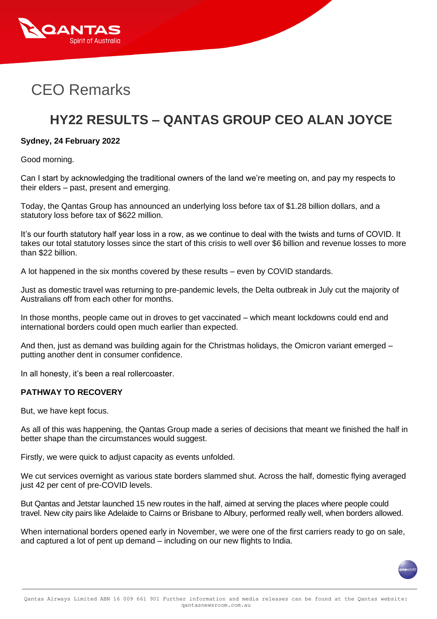

# CEO Remarks

# **HY22 RESULTS – QANTAS GROUP CEO ALAN JOYCE**

#### **Sydney, 24 February 2022**

Good morning.

Can I start by acknowledging the traditional owners of the land we're meeting on, and pay my respects to their elders – past, present and emerging.

Today, the Qantas Group has announced an underlying loss before tax of \$1.28 billion dollars, and a statutory loss before tax of \$622 million.

It's our fourth statutory half year loss in a row, as we continue to deal with the twists and turns of COVID. It takes our total statutory losses since the start of this crisis to well over \$6 billion and revenue losses to more than \$22 billion.

A lot happened in the six months covered by these results – even by COVID standards.

Just as domestic travel was returning to pre-pandemic levels, the Delta outbreak in July cut the majority of Australians off from each other for months.

In those months, people came out in droves to get vaccinated – which meant lockdowns could end and international borders could open much earlier than expected.

And then, just as demand was building again for the Christmas holidays, the Omicron variant emerged – putting another dent in consumer confidence.

In all honesty, it's been a real rollercoaster.

#### **PATHWAY TO RECOVERY**

But, we have kept focus.

As all of this was happening, the Qantas Group made a series of decisions that meant we finished the half in better shape than the circumstances would suggest.

Firstly, we were quick to adjust capacity as events unfolded.

We cut services overnight as various state borders slammed shut. Across the half, domestic flying averaged just 42 per cent of pre-COVID levels.

But Qantas and Jetstar launched 15 new routes in the half, aimed at serving the places where people could travel. New city pairs like Adelaide to Cairns or Brisbane to Albury, performed really well, when borders allowed.

When international borders opened early in November, we were one of the first carriers ready to go on sale, and captured a lot of pent up demand – including on our new flights to India.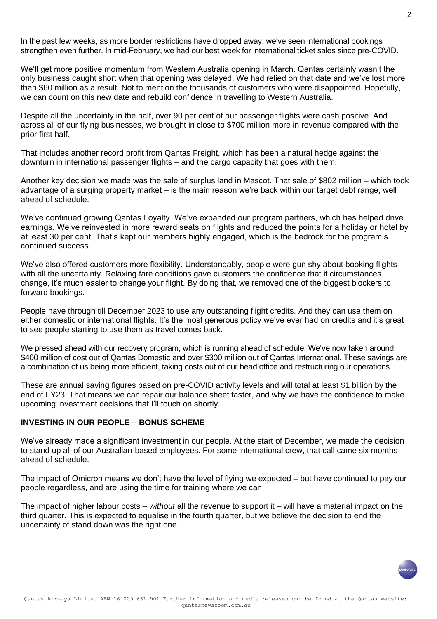In the past few weeks, as more border restrictions have dropped away, we've seen international bookings strengthen even further. In mid-February, we had our best week for international ticket sales since pre-COVID.

We'll get more positive momentum from Western Australia opening in March. Qantas certainly wasn't the only business caught short when that opening was delayed. We had relied on that date and we've lost more than \$60 million as a result. Not to mention the thousands of customers who were disappointed. Hopefully, we can count on this new date and rebuild confidence in travelling to Western Australia.

Despite all the uncertainty in the half, over 90 per cent of our passenger flights were cash positive. And across all of our flying businesses, we brought in close to \$700 million more in revenue compared with the prior first half.

That includes another record profit from Qantas Freight, which has been a natural hedge against the downturn in international passenger flights – and the cargo capacity that goes with them.

Another key decision we made was the sale of surplus land in Mascot. That sale of \$802 million – which took advantage of a surging property market – is the main reason we're back within our target debt range, well ahead of schedule.

We've continued growing Qantas Loyalty. We've expanded our program partners, which has helped drive earnings. We've reinvested in more reward seats on flights and reduced the points for a holiday or hotel by at least 30 per cent. That's kept our members highly engaged, which is the bedrock for the program's continued success.

We've also offered customers more flexibility. Understandably, people were gun shy about booking flights with all the uncertainty. Relaxing fare conditions gave customers the confidence that if circumstances change, it's much easier to change your flight. By doing that, we removed one of the biggest blockers to forward bookings.

People have through till December 2023 to use any outstanding flight credits. And they can use them on either domestic or international flights. It's the most generous policy we've ever had on credits and it's great to see people starting to use them as travel comes back.

We pressed ahead with our recovery program, which is running ahead of schedule. We've now taken around \$400 million of cost out of Qantas Domestic and over \$300 million out of Qantas International. These savings are a combination of us being more efficient, taking costs out of our head office and restructuring our operations.

These are annual saving figures based on pre-COVID activity levels and will total at least \$1 billion by the end of FY23. That means we can repair our balance sheet faster, and why we have the confidence to make upcoming investment decisions that I'll touch on shortly.

### **INVESTING IN OUR PEOPLE – BONUS SCHEME**

We've already made a significant investment in our people. At the start of December, we made the decision to stand up all of our Australian-based employees. For some international crew, that call came six months ahead of schedule.

The impact of Omicron means we don't have the level of flying we expected – but have continued to pay our people regardless, and are using the time for training where we can.

The impact of higher labour costs – *without* all the revenue to support it – will have a material impact on the third quarter. This is expected to equalise in the fourth quarter, but we believe the decision to end the uncertainty of stand down was the right one.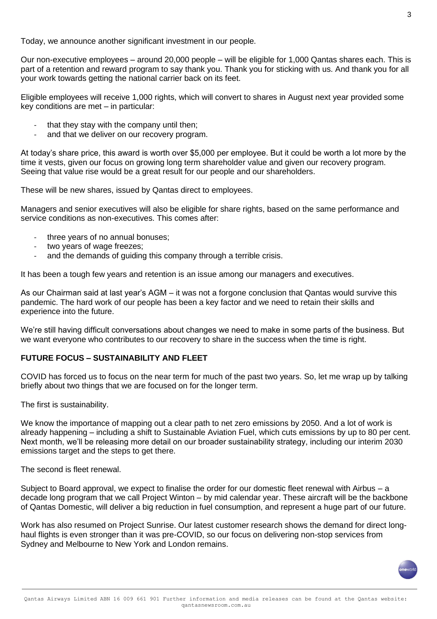Today, we announce another significant investment in our people.

Our non-executive employees – around 20,000 people – will be eligible for 1,000 Qantas shares each. This is part of a retention and reward program to say thank you. Thank you for sticking with us. And thank you for all your work towards getting the national carrier back on its feet.

Eligible employees will receive 1,000 rights, which will convert to shares in August next year provided some key conditions are met – in particular:

- that they stay with the company until then;
- and that we deliver on our recovery program.

At today's share price, this award is worth over \$5,000 per employee. But it could be worth a lot more by the time it vests, given our focus on growing long term shareholder value and given our recovery program. Seeing that value rise would be a great result for our people and our shareholders.

These will be new shares, issued by Qantas direct to employees.

Managers and senior executives will also be eligible for share rights, based on the same performance and service conditions as non-executives. This comes after:

- three years of no annual bonuses;
- two years of wage freezes;
- and the demands of guiding this company through a terrible crisis.

It has been a tough few years and retention is an issue among our managers and executives.

As our Chairman said at last year's AGM – it was not a forgone conclusion that Qantas would survive this pandemic. The hard work of our people has been a key factor and we need to retain their skills and experience into the future.

We're still having difficult conversations about changes we need to make in some parts of the business. But we want everyone who contributes to our recovery to share in the success when the time is right.

## **FUTURE FOCUS – SUSTAINABILITY AND FLEET**

COVID has forced us to focus on the near term for much of the past two years. So, let me wrap up by talking briefly about two things that we are focused on for the longer term.

The first is sustainability.

We know the importance of mapping out a clear path to net zero emissions by 2050. And a lot of work is already happening – including a shift to Sustainable Aviation Fuel, which cuts emissions by up to 80 per cent. Next month, we'll be releasing more detail on our broader sustainability strategy, including our interim 2030 emissions target and the steps to get there.

The second is fleet renewal.

Subject to Board approval, we expect to finalise the order for our domestic fleet renewal with Airbus – a decade long program that we call Project Winton – by mid calendar year. These aircraft will be the backbone of Qantas Domestic, will deliver a big reduction in fuel consumption, and represent a huge part of our future.

Work has also resumed on Project Sunrise. Our latest customer research shows the demand for direct longhaul flights is even stronger than it was pre-COVID, so our focus on delivering non-stop services from Sydney and Melbourne to New York and London remains.